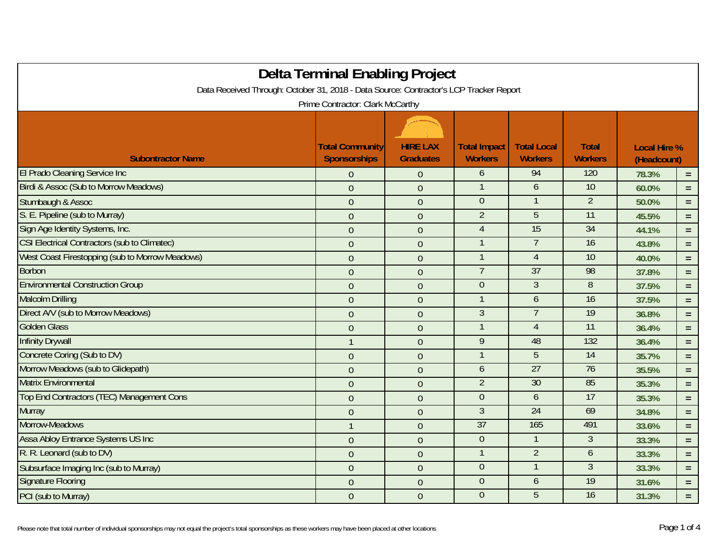| <b>Delta Terminal Enabling Project</b>                                                                                     |                        |                  |                     |                    |                 |                     |          |  |
|----------------------------------------------------------------------------------------------------------------------------|------------------------|------------------|---------------------|--------------------|-----------------|---------------------|----------|--|
| Data Received Through: October 31, 2018 - Data Source: Contractor's LCP Tracker Report<br>Prime Contractor: Clark McCarthy |                        |                  |                     |                    |                 |                     |          |  |
|                                                                                                                            |                        |                  |                     |                    |                 |                     |          |  |
|                                                                                                                            |                        |                  |                     |                    |                 |                     |          |  |
|                                                                                                                            | <b>Total Community</b> | <b>HIRE LAX</b>  | <b>Total Impact</b> | <b>Total Local</b> | <b>Total</b>    | <b>Local Hire %</b> |          |  |
| <b>Subontractor Name</b>                                                                                                   | <b>Sponsorships</b>    | <b>Graduates</b> | <b>Workers</b>      | <b>Workers</b>     | <b>Workers</b>  | (Headcount)         |          |  |
| <b>El Prado Cleaning Service Inc</b>                                                                                       | $\overline{0}$         | $\mathbf{0}$     | 6                   | 94                 | 120             | 78.3%               | $\equiv$ |  |
| Birdi & Assoc (Sub to Morrow Meadows)                                                                                      | $\overline{0}$         | $\mathbf{0}$     |                     | 6                  | 10              | 60.0%               | $=$      |  |
| Stumbaugh & Assoc                                                                                                          | $\overline{0}$         | $\boldsymbol{0}$ | $\overline{0}$      |                    | $\overline{2}$  | 50.0%               | $=$ $\,$ |  |
| S. E. Pipeline (sub to Murray)                                                                                             | $\overline{0}$         | $\boldsymbol{0}$ | $\overline{2}$      | 5                  | $\overline{11}$ | 45.5%               | $\equiv$ |  |
| Sign Age Identity Systems, Inc.                                                                                            | $\mathbf{0}$           | $\boldsymbol{0}$ | $\overline{4}$      | 15                 | 34              | 44.1%               | $=$      |  |
| <b>CSI Electrical Contractors (sub to Climatec)</b>                                                                        | $\mathbf{0}$           | $\mathbf{0}$     |                     | $\overline{7}$     | 16              | 43.8%               | $\equiv$ |  |
| West Coast Firestopping (sub to Morrow Meadows)                                                                            | $\overline{0}$         | $\boldsymbol{0}$ |                     | $\overline{4}$     | 10              | 40.0%               | $\equiv$ |  |
| <b>Borbon</b>                                                                                                              | $\overline{0}$         | $\theta$         |                     | 37                 | 98              | 37.8%               | $=$      |  |
| <b>Environmental Construction Group</b>                                                                                    | $\overline{0}$         | $\mathbf{0}$     | $\overline{0}$      | $\mathfrak{Z}$     | 8               | 37.5%               | $\equiv$ |  |
| <b>Malcolm Drilling</b>                                                                                                    | $\theta$               | $\boldsymbol{0}$ |                     | 6                  | 16              | 37.5%               | $\equiv$ |  |
| Direct A/V (sub to Morrow Meadows)                                                                                         | $\theta$               | $\boldsymbol{0}$ | $\mathfrak{Z}$      | $\overline{7}$     | 19              | 36.8%               | $\equiv$ |  |
| <b>Golden Glass</b>                                                                                                        | $\mathbf{0}$           | $\overline{0}$   |                     | $\overline{4}$     | 11              | 36.4%               | $=$      |  |
| <b>Infinity Drywall</b>                                                                                                    | $\mathbf{1}$           | $\boldsymbol{0}$ | 9                   | 48                 | 132             | 36.4%               | $=$      |  |
| Concrete Coring (Sub to DV)                                                                                                | $\mathbf{0}$           | $\overline{0}$   |                     | 5                  | 14              | 35.7%               | $\equiv$ |  |
| Morrow Meadows (sub to Glidepath)                                                                                          | $\mathbf{0}$           | $\mathbf{0}$     | 6                   | 27                 | 76              | 35.5%               | $\equiv$ |  |
| <b>Matrix Environmental</b>                                                                                                | $\mathbf{0}$           | $\boldsymbol{0}$ | $\overline{2}$      | 30                 | 85              | 35.3%               | $\equiv$ |  |
| Top End Contractors (TEC) Management Cons                                                                                  | $\mathbf{0}$           | $\overline{0}$   | $\overline{0}$      | 6                  | 17              | 35.3%               | $=$      |  |
| <b>Murray</b>                                                                                                              | $\mathbf{0}$           | $\boldsymbol{0}$ | $\overline{3}$      | 24                 | 69              | 34.8%               | $=$      |  |
| Morrow-Meadows                                                                                                             | $\mathbf{1}$           | $\mathbf{0}$     | 37                  | 165                | 491             | 33.6%               | $\equiv$ |  |
| Assa Abloy Entrance Systems US Inc                                                                                         | $\overline{0}$         | $\mathbf{0}$     | $\overline{0}$      |                    | $\mathfrak{Z}$  | 33.3%               | $\equiv$ |  |
| R. R. Leonard (sub to DV)                                                                                                  | $\theta$               | $\boldsymbol{0}$ |                     | $\overline{2}$     | 6               | 33.3%               | $=$ $\,$ |  |
| Subsurface Imaging Inc (sub to Murray)                                                                                     | $\overline{0}$         | $\mathbf{0}$     | $\overline{0}$      |                    | $\mathfrak{Z}$  | 33.3%               | $=$      |  |
| <b>Signature Flooring</b>                                                                                                  | $\overline{0}$         | $\theta$         | $\overline{0}$      | 6                  | 19              | 31.6%               | $\equiv$ |  |
| PCI (sub to Murray)                                                                                                        | $\overline{0}$         | $\mathbf{0}$     | $\overline{0}$      | 5                  | 16              | 31.3%               | $=$      |  |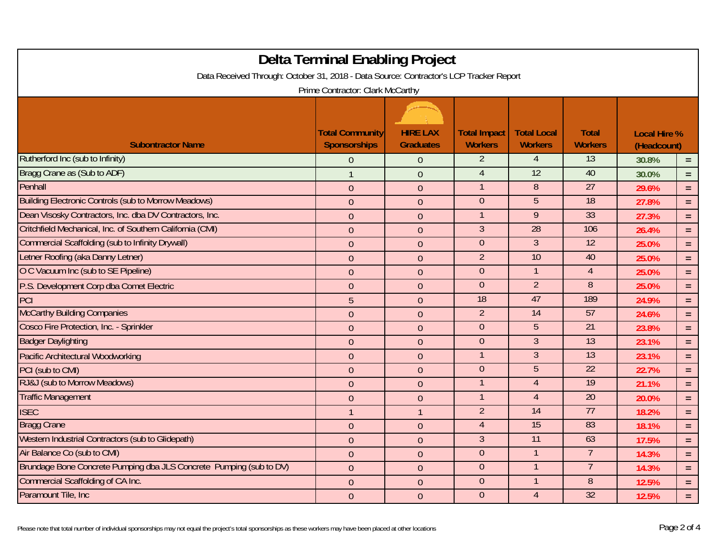| <b>Delta Terminal Enabling Project</b><br>Data Received Through: October 31, 2018 - Data Source: Contractor's LCP Tracker Report<br>Prime Contractor: Clark McCarthy |                                        |                                     |                                       |                                      |                                |                                    |          |
|----------------------------------------------------------------------------------------------------------------------------------------------------------------------|----------------------------------------|-------------------------------------|---------------------------------------|--------------------------------------|--------------------------------|------------------------------------|----------|
| <b>Subontractor Name</b>                                                                                                                                             | <b>Total Community</b><br>Sponsorships | <b>HIRE LAX</b><br><b>Graduates</b> | <b>Total Impact</b><br><b>Workers</b> | <b>Total Local</b><br><b>Workers</b> | <b>Total</b><br><b>Workers</b> | <b>Local Hire %</b><br>(Headcount) |          |
| Rutherford Inc (sub to Infinity)                                                                                                                                     | $\overline{0}$                         | $\theta$                            | $\overline{2}$                        | $\overline{4}$                       | 13                             | 30.8%                              | $\equiv$ |
| Bragg Crane as (Sub to ADF)                                                                                                                                          | $\overline{1}$                         | $\overline{0}$                      | $\overline{4}$                        | $\overline{12}$                      | 40                             | 30.0%                              | $\equiv$ |
| Penhall                                                                                                                                                              | $\theta$                               | $\theta$                            |                                       | 8                                    | $\overline{27}$                | 29.6%                              | $=$      |
| <b>Building Electronic Controls (sub to Morrow Meadows)</b>                                                                                                          | $\overline{0}$                         | $\overline{0}$                      | $\overline{0}$                        | 5                                    | 18                             | 27.8%                              | $\equiv$ |
| Dean Visosky Contractors, Inc. dba DV Contractors, Inc.                                                                                                              | $\overline{0}$                         | $\theta$                            |                                       | 9                                    | 33                             | 27.3%                              | $\equiv$ |
| Critchfield Mechanical, Inc. of Southern California (CMI)                                                                                                            | $\theta$                               | $\theta$                            | $\overline{3}$                        | $\overline{28}$                      | 106                            | 26.4%                              | $\equiv$ |
| <b>Commercial Scaffolding (sub to Infinity Drywall)</b>                                                                                                              | $\theta$                               | $\boldsymbol{0}$                    | $\overline{0}$                        | $\overline{3}$                       | 12                             | 25.0%                              | $\equiv$ |
| Letner Roofing (aka Danny Letner)                                                                                                                                    | $\theta$                               | $\theta$                            | $\overline{2}$                        | 10                                   | 40                             | 25.0%                              | $\equiv$ |
| O C Vacuum Inc (sub to SE Pipeline)                                                                                                                                  | $\theta$                               | $\theta$                            | $\overline{0}$                        | $\mathbf{1}$                         | $\overline{4}$                 | 25.0%                              | $\equiv$ |
| P.S. Development Corp dba Comet Electric                                                                                                                             | $\theta$                               | $\theta$                            | $\overline{0}$                        | $\overline{2}$                       | 8                              | 25.0%                              | $\equiv$ |
| PCI                                                                                                                                                                  | 5                                      | $\overline{0}$                      | 18                                    | 47                                   | 189                            | 24.9%                              | $\equiv$ |
| <b>McCarthy Building Companies</b>                                                                                                                                   | $\overline{0}$                         | $\overline{0}$                      | $\overline{2}$                        | $\overline{14}$                      | 57                             | 24.6%                              | $\equiv$ |
| Cosco Fire Protection, Inc. - Sprinkler                                                                                                                              | $\theta$                               | $\mathbf{0}$                        | $\overline{0}$                        | 5                                    | $\overline{21}$                | 23.8%                              | $\equiv$ |
| <b>Badger Daylighting</b>                                                                                                                                            | $\theta$                               | $\boldsymbol{0}$                    | $\overline{0}$                        | $\mathfrak{Z}$                       | 13                             | 23.1%                              | $\equiv$ |
| <b>Pacific Architectural Woodworking</b>                                                                                                                             | $\theta$                               | $\theta$                            |                                       | $\overline{3}$                       | $\overline{13}$                | 23.1%                              | $\equiv$ |
| PCI (sub to CMI)                                                                                                                                                     | $\overline{0}$                         | $\mathbf{0}$                        | $\overline{0}$                        | $\overline{5}$                       | 22                             | 22.7%                              | $\equiv$ |
| RJ&J (sub to Morrow Meadows)                                                                                                                                         | $\theta$                               | $\mathbf{0}$                        |                                       | $\overline{4}$                       | 19                             | 21.1%                              | $\equiv$ |
| <b>Traffic Management</b>                                                                                                                                            | $\overline{0}$                         | $\theta$                            |                                       | $\overline{4}$                       | $\overline{20}$                | 20.0%                              | $\equiv$ |
| <b>ISEC</b>                                                                                                                                                          | $\overline{1}$                         | $\mathbf{1}$                        | $\overline{2}$                        | $\overline{14}$                      | 77                             | 18.2%                              | $\equiv$ |
| <b>Bragg Crane</b>                                                                                                                                                   | $\theta$                               | $\mathbf{0}$                        | $\overline{4}$                        | 15                                   | 83                             | 18.1%                              | $\equiv$ |
| Western Industrial Contractors (sub to Glidepath)                                                                                                                    | $\theta$                               | $\boldsymbol{0}$                    | $\overline{3}$                        | $\overline{11}$                      | 63                             | 17.5%                              | $\equiv$ |
| Air Balance Co (sub to CMI)                                                                                                                                          | $\theta$                               | $\theta$                            | $\overline{0}$                        |                                      | $\overline{7}$                 | 14.3%                              | $=$      |
| Brundage Bone Concrete Pumping dba JLS Concrete Pumping (sub to DV)                                                                                                  | $\overline{0}$                         | $\mathbf{0}$                        | $\overline{0}$                        |                                      | $\overline{7}$                 | 14.3%                              | $\equiv$ |
| <b>Commercial Scaffolding of CA Inc.</b>                                                                                                                             | $\overline{0}$                         | $\mathbf{0}$                        | $\overline{0}$                        |                                      | 8                              | 12.5%                              | $\equiv$ |
| Paramount Tile, Inc.                                                                                                                                                 | $\overline{0}$                         | $\overline{0}$                      | $\overline{0}$                        | $\overline{4}$                       | 32                             | 12.5%                              | $\equiv$ |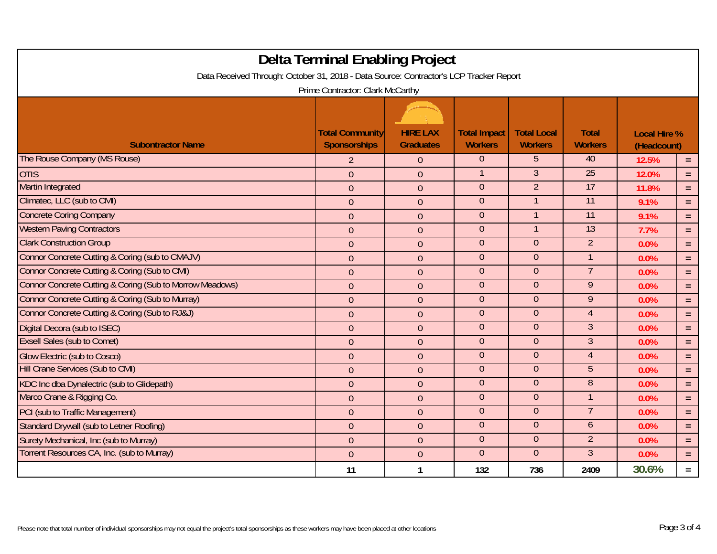|                                                                                        | <b>Delta Terminal Enabling Project</b> |                                     |                                       |                                      |                                |                                    |          |
|----------------------------------------------------------------------------------------|----------------------------------------|-------------------------------------|---------------------------------------|--------------------------------------|--------------------------------|------------------------------------|----------|
| Data Received Through: October 31, 2018 - Data Source: Contractor's LCP Tracker Report |                                        |                                     |                                       |                                      |                                |                                    |          |
| Prime Contractor: Clark McCarthy                                                       |                                        |                                     |                                       |                                      |                                |                                    |          |
| <b>Subontractor Name</b>                                                               | <b>Total Community</b><br>Sponsorships | <b>HIRE LAX</b><br><b>Graduates</b> | <b>Total Impact</b><br><b>Workers</b> | <b>Total Local</b><br><b>Workers</b> | <b>Total</b><br><b>Workers</b> | <b>Local Hire %</b><br>(Headcount) |          |
| The Rouse Company (MS Rouse)                                                           | $\overline{2}$                         | $\theta$                            | $\Omega$                              | $5^{\circ}$                          | 40                             | 12.5%                              | $\equiv$ |
| <b>OTIS</b>                                                                            | $\boldsymbol{0}$                       | $\boldsymbol{0}$                    |                                       | $\mathfrak{Z}$                       | $\overline{25}$                | 12.0%                              | $\equiv$ |
| <b>Martin Integrated</b>                                                               | $\mathbf{0}$                           | $\theta$                            | $\overline{0}$                        | $\overline{2}$                       | 17                             | 11.8%                              | $=$      |
| Climatec, LLC (sub to CMI)                                                             | $\mathbf{0}$                           | $\mathbf{0}$                        | $\overline{0}$                        |                                      | 11                             | 9.1%                               | $\equiv$ |
| <b>Concrete Coring Company</b>                                                         | $\overline{0}$                         | $\theta$                            | $\overline{0}$                        |                                      | 11                             | 9.1%                               | $\equiv$ |
| <b>Western Paving Contractors</b>                                                      | $\overline{0}$                         | $\theta$                            | $\overline{0}$                        | $\mathbf{1}$                         | $\overline{13}$                | 7.7%                               | $\equiv$ |
| <b>Clark Construction Group</b>                                                        | $\boldsymbol{0}$                       | $\boldsymbol{0}$                    | $\overline{0}$                        | $\overline{0}$                       | $\overline{2}$                 | 0.0%                               | $\equiv$ |
| Connor Concrete Cutting & Coring (sub to CMAJV)                                        | $\overline{0}$                         | $\overline{0}$                      | $\overline{0}$                        | $\overline{0}$                       | $\mathbf{1}$                   | 0.0%                               | $=$      |
| Connor Concrete Cutting & Coring (Sub to CMI)                                          | $\theta$                               | $\theta$                            | $\overline{0}$                        | $\overline{0}$                       | $\overline{7}$                 | 0.0%                               | $\equiv$ |
| Connor Concrete Cutting & Coring (Sub to Morrow Meadows)                               | $\boldsymbol{0}$                       | $\theta$                            | $\Omega$                              | $\Omega$                             | 9                              | 0.0%                               | $\equiv$ |
| Connor Concrete Cutting & Coring (Sub to Murray)                                       | $\overline{0}$                         | $\mathbf{0}$                        | $\overline{0}$                        | $\overline{0}$                       | 9                              | 0.0%                               | $\equiv$ |
| Connor Concrete Cutting & Coring (Sub to RJ&J)                                         | $\theta$                               | $\boldsymbol{0}$                    | $\overline{0}$                        | $\overline{0}$                       | $\overline{4}$                 | 0.0%                               | $=$      |
| Digital Decora (sub to ISEC)                                                           | $\overline{0}$                         | $\overline{0}$                      | $\overline{0}$                        | $\overline{0}$                       | $\overline{3}$                 | 0.0%                               | $=$      |
| <b>Exsell Sales (sub to Comet)</b>                                                     | $\theta$                               | $\mathbf{0}$                        | $\overline{0}$                        | $\overline{0}$                       | $\overline{3}$                 | 0.0%                               | $=$      |
| <b>Glow Electric (sub to Cosco)</b>                                                    | $\mathbf{0}$                           | $\mathbf{0}$                        | $\overline{0}$                        | $\overline{0}$                       | $\overline{4}$                 | 0.0%                               | $\equiv$ |
| Hill Crane Services (Sub to CMI)                                                       | $\mathbf{0}$                           | $\mathbf{0}$                        | $\overline{0}$                        | $\overline{0}$                       | 5                              | 0.0%                               | $\equiv$ |
| KDC Inc dba Dynalectric (sub to Glidepath)                                             | $\theta$                               | $\theta$                            | $\overline{0}$                        | $\overline{0}$                       | 8                              | 0.0%                               | $=$      |
| Marco Crane & Rigging Co.                                                              | $\mathbf{0}$                           | $\mathbf{0}$                        | $\overline{0}$                        | $\overline{0}$                       | $\mathbf{1}$                   | 0.0%                               | $=$      |
| PCI (sub to Traffic Management)                                                        | $\theta$                               | $\mathbf{0}$                        | $\overline{0}$                        | $\overline{0}$                       | $\overline{7}$                 | 0.0%                               | $=$      |
| Standard Drywall (sub to Letner Roofing)                                               | $\overline{0}$                         | $\theta$                            | $\overline{0}$                        | $\overline{0}$                       | 6                              | 0.0%                               | $\equiv$ |
| Surety Mechanical, Inc (sub to Murray)                                                 | $\mathbf{0}$                           | $\boldsymbol{0}$                    | $\overline{0}$                        | $\overline{0}$                       | $\overline{2}$                 | 0.0%                               | $\equiv$ |
| Torrent Resources CA, Inc. (sub to Murray)                                             | $\mathbf{0}$                           | $\theta$                            | $\overline{0}$                        | $\overline{0}$                       | $\mathfrak{Z}$                 | 0.0%                               | $\equiv$ |
|                                                                                        | 11                                     | 1                                   | 132                                   | 736                                  | 2409                           | 30.6%                              | $=$      |